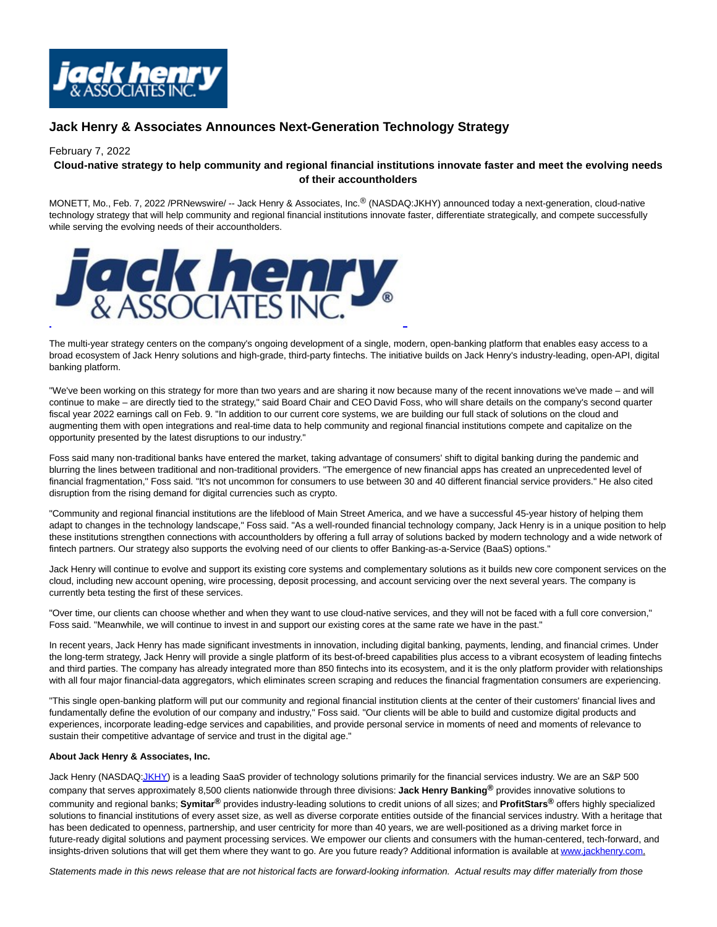

## **Jack Henry & Associates Announces Next-Generation Technology Strategy**

## February 7, 2022

## **Cloud-native strategy to help community and regional financial institutions innovate faster and meet the evolving needs of their accountholders**

MONETT, Mo., Feb. 7, 2022 /PRNewswire/ -- Jack Henry & Associates, Inc.® (NASDAQ:JKHY) announced today a next-generation, cloud-native technology strategy that will help community and regional financial institutions innovate faster, differentiate strategically, and compete successfully while serving the evolving needs of their accountholders.



The multi-year strategy centers on the company's ongoing development of a single, modern, open-banking platform that enables easy access to a broad ecosystem of Jack Henry solutions and high-grade, third-party fintechs. The initiative builds on Jack Henry's industry-leading, open-API, digital banking platform.

"We've been working on this strategy for more than two years and are sharing it now because many of the recent innovations we've made – and will continue to make – are directly tied to the strategy," said Board Chair and CEO David Foss, who will share details on the company's second quarter fiscal year 2022 earnings call on Feb. 9. "In addition to our current core systems, we are building our full stack of solutions on the cloud and augmenting them with open integrations and real-time data to help community and regional financial institutions compete and capitalize on the opportunity presented by the latest disruptions to our industry."

Foss said many non-traditional banks have entered the market, taking advantage of consumers' shift to digital banking during the pandemic and blurring the lines between traditional and non-traditional providers. "The emergence of new financial apps has created an unprecedented level of financial fragmentation," Foss said. "It's not uncommon for consumers to use between 30 and 40 different financial service providers." He also cited disruption from the rising demand for digital currencies such as crypto.

"Community and regional financial institutions are the lifeblood of Main Street America, and we have a successful 45-year history of helping them adapt to changes in the technology landscape," Foss said. "As a well-rounded financial technology company, Jack Henry is in a unique position to help these institutions strengthen connections with accountholders by offering a full array of solutions backed by modern technology and a wide network of fintech partners. Our strategy also supports the evolving need of our clients to offer Banking-as-a-Service (BaaS) options."

Jack Henry will continue to evolve and support its existing core systems and complementary solutions as it builds new core component services on the cloud, including new account opening, wire processing, deposit processing, and account servicing over the next several years. The company is currently beta testing the first of these services.

"Over time, our clients can choose whether and when they want to use cloud-native services, and they will not be faced with a full core conversion," Foss said. "Meanwhile, we will continue to invest in and support our existing cores at the same rate we have in the past."

In recent years, Jack Henry has made significant investments in innovation, including digital banking, payments, lending, and financial crimes. Under the long-term strategy, Jack Henry will provide a single platform of its best-of-breed capabilities plus access to a vibrant ecosystem of leading fintechs and third parties. The company has already integrated more than 850 fintechs into its ecosystem, and it is the only platform provider with relationships with all four major financial-data aggregators, which eliminates screen scraping and reduces the financial fragmentation consumers are experiencing.

"This single open-banking platform will put our community and regional financial institution clients at the center of their customers' financial lives and fundamentally define the evolution of our company and industry," Foss said. "Our clients will be able to build and customize digital products and experiences, incorporate leading-edge services and capabilities, and provide personal service in moments of need and moments of relevance to sustain their competitive advantage of service and trust in the digital age."

## **About Jack Henry & Associates, Inc.**

Jack Henry (NASDA[Q:JKHY\)](https://c212.net/c/link/?t=0&l=en&o=3435760-1&h=238264948&u=http%3A%2F%2Fwww.nasdaq.com%2Fsymbol%2Fjkhy&a=JKHY) is a leading SaaS provider of technology solutions primarily for the financial services industry. We are an S&P 500 company that serves approximately 8,500 clients nationwide through three divisions: **Jack Henry Banking®** provides innovative solutions to community and regional banks; **Symitar®** provides industry-leading solutions to credit unions of all sizes; and **ProfitStars®** offers highly specialized solutions to financial institutions of every asset size, as well as diverse corporate entities outside of the financial services industry. With a heritage that has been dedicated to openness, partnership, and user centricity for more than 40 years, we are well-positioned as a driving market force in future-ready digital solutions and payment processing services. We empower our clients and consumers with the human-centered, tech-forward, and insights-driven solutions that will get them where they want to go. Are you future ready? Additional information is available a[t www.jackhenry.com.](https://c212.net/c/link/?t=0&l=en&o=3435760-1&h=3689730868&u=http%3A%2F%2Fwww.jackhenry.com%2F&a=www.jackhenry.com)

Statements made in this news release that are not historical facts are forward-looking information. Actual results may differ materially from those